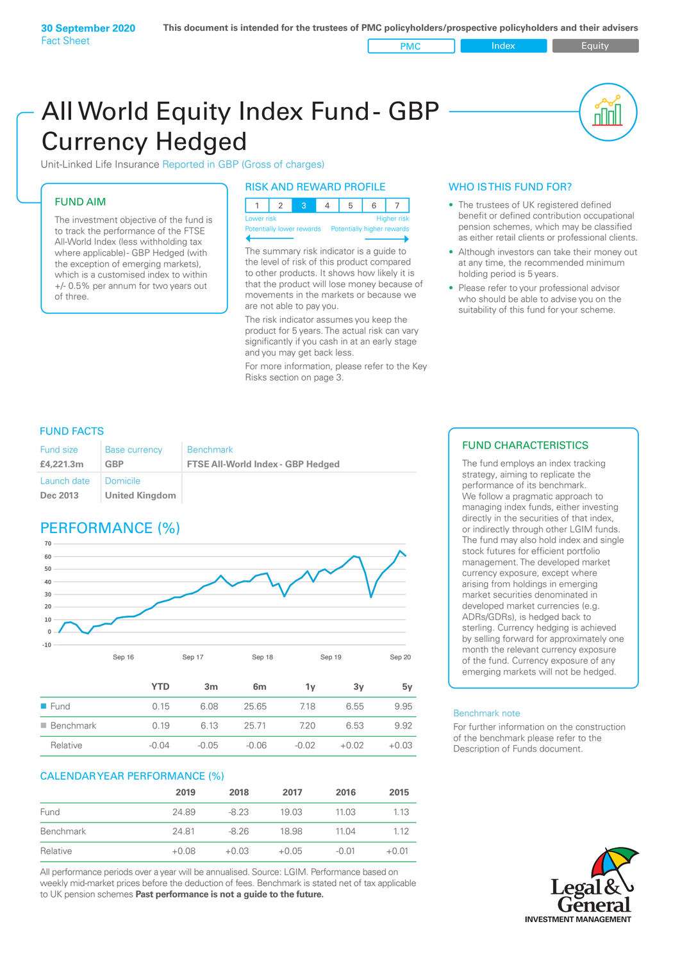All World Equity Index Fund- GBP Currency Hedged

Unit-Linked Life Insurance Reported in GBP (Gross of charges)

### FUND AIM

The investment objective of the fund is to track the performance of the FTSE All-World Index (less withholding tax where applicable)- GBP Hedged (with the exception of emerging markets), which is a customised index to within +/- 0.5% per annum for two years out of three.

#### RISK AND REWARD PROFILE

| Lower risk |  |  | <b>Higher risk</b> |
|------------|--|--|--------------------|

ntially lower rewards

The summary risk indicator is a guide to the level of risk of this product compared to other products. It shows how likely it is that the product will lose money because of movements in the markets or because we are not able to pay you.

The risk indicator assumes you keep the product for 5 years. The actual risk can vary significantly if you cash in at an early stage and you may get back less.

For more information, please refer to the Key Risks section on page 3.

### WHO IS THIS FUND FOR?

The trustees of UK registered defined benefit or defined contribution occupational pension schemes, which may be classified as either retail clients or professional clients.

nl M

- Although investors can take their money out at any time, the recommended minimum holding period is 5 years.
- Please refer to your professional advisor who should be able to advise you on the suitability of this fund for your scheme.

### FUND FACTS

| <b>Fund size</b>        | <b>Base currency</b>         | <b>Benchmark</b>                         |
|-------------------------|------------------------------|------------------------------------------|
| £4,221.3m               | GBP                          | <b>FTSE All-World Index - GBP Hedged</b> |
| Launch date<br>Dec 2013 | I Domicile<br>United Kingdom |                                          |

# PERFORMANCE (%)



|                          | YTD     | 3 <sub>m</sub> | 6m      | 1v      | 3v      | 5v      |
|--------------------------|---------|----------------|---------|---------|---------|---------|
| $\blacksquare$ Fund      | 0.15    | 6.08           | 25.65   | 7.18    | 6.55    | 9.95    |
| $\blacksquare$ Benchmark | 0.19    | 6 13           | 25.71   | 720     | 6.53    | 9.92    |
| Relative                 | $-0.04$ | $-0.05$        | $-0.06$ | $-0.02$ | $+0.02$ | $+0.03$ |

#### CALENDAR YEAR PERFORMANCE (%)

|           | 2019    | 2018    | 2017    | 2016    | 2015    |
|-----------|---------|---------|---------|---------|---------|
| Fund      | 24.89   | $-8.23$ | 19.03   | 11.03   | 1.13    |
| Benchmark | 24.81   | $-8.26$ | 18.98   | 11.04   | 1 1 2   |
| Relative  | $+0.08$ | $+0.03$ | $+0.05$ | $-0.01$ | $+0.01$ |

All performance periods over a year will be annualised. Source: LGIM. Performance based on weekly mid-market prices before the deduction of fees. Benchmark is stated net of tax applicable to UK pension schemes **Past performance is not a guide to the future.**

#### FUND CHARACTERISTICS

The fund employs an index tracking strategy, aiming to replicate the performance of its benchmark. We follow a pragmatic approach to managing index funds, either investing directly in the securities of that index, or indirectly through other LGIM funds. The fund may also hold index and single stock futures for efficient portfolio management. The developed market currency exposure, except where arising from holdings in emerging market securities denominated in developed market currencies (e.g. ADRs/GDRs), is hedged back to sterling. Currency hedging is achieved by selling forward for approximately one month the relevant currency exposure of the fund. Currency exposure of any emerging markets will not be hedged.

#### Benchmark note

For further information on the construction of the benchmark please refer to the Description of Funds document.

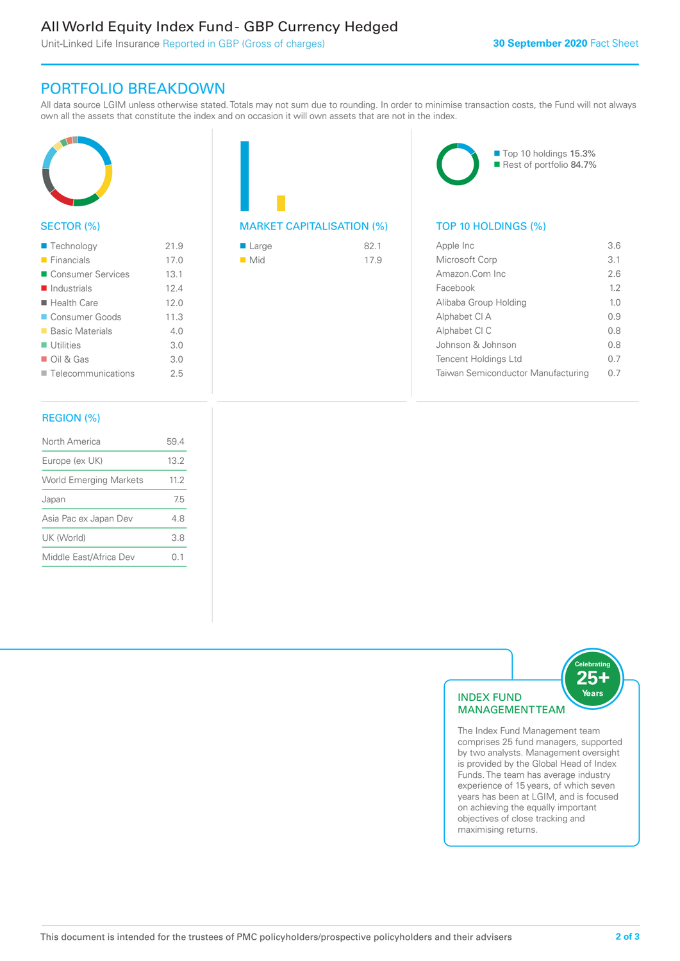# All World Equity Index Fund - GBP Currency Hedged

Unit-Linked Life Insurance Reported in GBP (Gross of charges)

## PORTFOLIO BREAKDOWN

All data source LGIM unless otherwise stated. Totals may not sum due to rounding. In order to minimise transaction costs, the Fund will not always own all the assets that constitute the index and on occasion it will own assets that are not in the index.



#### SECTOR (%)

| ■ Technology               | 21.9 |
|----------------------------|------|
| $\blacksquare$ Financials  | 17.0 |
| ■ Consumer Services        | 13.1 |
| Industrials                | 124  |
| $\blacksquare$ Health Care | 12.0 |
| ■ Consumer Goods           | 11.3 |
| ■ Basic Materials          | 4.0  |
| $\blacksquare$ Utilities   | 3.0  |
| $\Box$ Oil & Gas           | 3.0  |
| Telecommunications         | 25   |

#### REGION (%)

| North America                 | 594  |
|-------------------------------|------|
| Europe (ex UK)                | 13.2 |
| <b>World Emerging Markets</b> | 11.2 |
| Japan                         | 75   |
| Asia Pac ex Japan Dev         | 48   |
| UK (World)                    | 3.8  |
| Middle East/Africa Dev        | N 1  |
|                               |      |

# MARKET CAPITALISATION (%) TOP 10 HOLDINGS (%)

| ■ Large            | 821  |
|--------------------|------|
| $\blacksquare$ Mid | 17.9 |



| Apple Inc                          | 36   |
|------------------------------------|------|
| Microsoft Corp                     | 3.1  |
| Amazon Com Inc                     | 26   |
| Facebook                           | 12   |
| Alibaba Group Holding              | 10   |
| Alphabet CI A                      | O 9  |
| Alphabet CI C                      | 0 S  |
| Johnson & Johnson                  | 0 S  |
| Tencent Holdings Ltd               | 0 7  |
| Taiwan Semiconductor Manufacturing | (1 / |
|                                    |      |



comprises 25 fund managers, supported by two analysts. Management oversight is provided by the Global Head of Index Funds. The team has average industry experience of 15 years, of which seven years has been at LGIM, and is focused on achieving the equally important objectives of close tracking and maximising returns.